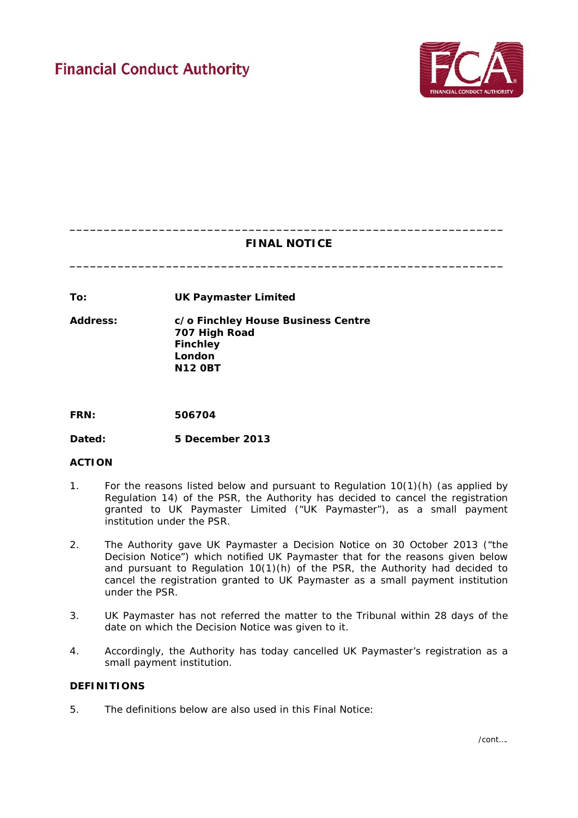

# **\_\_\_\_\_\_\_\_\_\_\_\_\_\_\_\_\_\_\_\_\_\_\_\_\_\_\_\_\_\_\_\_\_\_\_\_\_\_\_\_\_\_\_\_\_\_\_\_\_\_\_\_\_\_\_\_\_\_\_\_\_\_\_ FINAL NOTICE**

**\_\_\_\_\_\_\_\_\_\_\_\_\_\_\_\_\_\_\_\_\_\_\_\_\_\_\_\_\_\_\_\_\_\_\_\_\_\_\_\_\_\_\_\_\_\_\_\_\_\_\_\_\_\_\_\_\_\_\_\_\_\_\_**

**To: UK Paymaster Limited**

**Address: c/o Finchley House Business Centre 707 High Road Finchley London N12 0BT**

**FRN: 506704**

**Dated: 5 December 2013** 

### **ACTION**

- 1. For the reasons listed below and pursuant to Regulation 10(1)(h) (as applied by Regulation 14) of the PSR, the Authority has decided to cancel the registration granted to UK Paymaster Limited ("UK Paymaster"), as a small payment institution under the PSR.
- 2. The Authority gave UK Paymaster a Decision Notice on 30 October 2013 ("the Decision Notice") which notified UK Paymaster that for the reasons given below and pursuant to Regulation 10(1)(h) of the PSR, the Authority had decided to cancel the registration granted to UK Paymaster as a small payment institution under the PSR.
- 3. UK Paymaster has not referred the matter to the Tribunal within 28 days of the date on which the Decision Notice was given to it.
- 4. Accordingly, the Authority has today cancelled UK Paymaster's registration as a small payment institution.

# **DEFINITIONS**

5. The definitions below are also used in this Final Notice: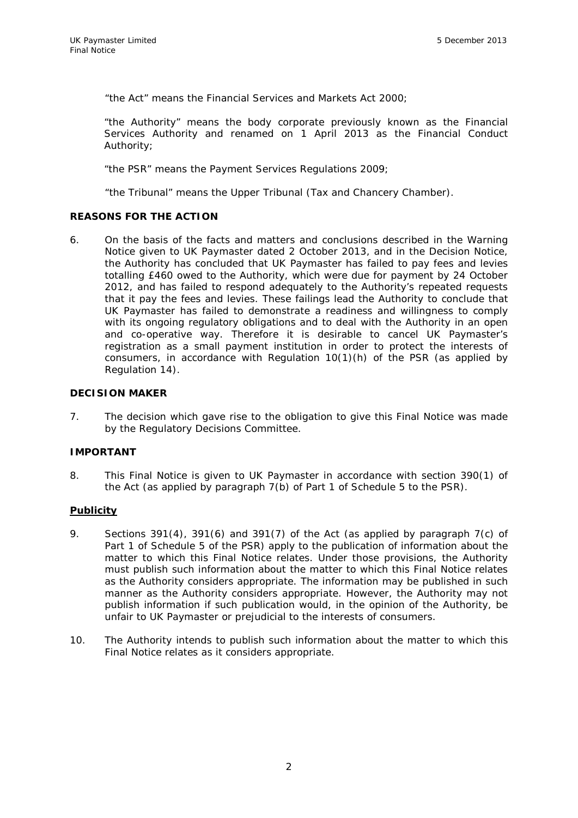"the Act" means the Financial Services and Markets Act 2000;

"the Authority" means the body corporate previously known as the Financial Services Authority and renamed on 1 April 2013 as the Financial Conduct Authority;

"the PSR" means the Payment Services Regulations 2009;

"the Tribunal" means the Upper Tribunal (Tax and Chancery Chamber).

#### **REASONS FOR THE ACTION**

6. On the basis of the facts and matters and conclusions described in the Warning Notice given to UK Paymaster dated 2 October 2013, and in the Decision Notice, the Authority has concluded that UK Paymaster has failed to pay fees and levies totalling £460 owed to the Authority, which were due for payment by 24 October 2012, and has failed to respond adequately to the Authority's repeated requests that it pay the fees and levies. These failings lead the Authority to conclude that UK Paymaster has failed to demonstrate a readiness and willingness to comply with its ongoing regulatory obligations and to deal with the Authority in an open and co-operative way. Therefore it is desirable to cancel UK Paymaster's registration as a small payment institution in order to protect the interests of consumers, in accordance with Regulation 10(1)(h) of the PSR (as applied by Regulation 14).

#### **DECISION MAKER**

7. The decision which gave rise to the obligation to give this Final Notice was made by the Regulatory Decisions Committee.

## **IMPORTANT**

8. This Final Notice is given to UK Paymaster in accordance with section 390(1) of the Act (as applied by paragraph 7(b) of Part 1 of Schedule 5 to the PSR).

# **Publicity**

- 9. Sections 391(4), 391(6) and 391(7) of the Act (as applied by paragraph 7(c) of Part 1 of Schedule 5 of the PSR) apply to the publication of information about the matter to which this Final Notice relates. Under those provisions, the Authority must publish such information about the matter to which this Final Notice relates as the Authority considers appropriate. The information may be published in such manner as the Authority considers appropriate. However, the Authority may not publish information if such publication would, in the opinion of the Authority, be unfair to UK Paymaster or prejudicial to the interests of consumers.
- 10. The Authority intends to publish such information about the matter to which this Final Notice relates as it considers appropriate.